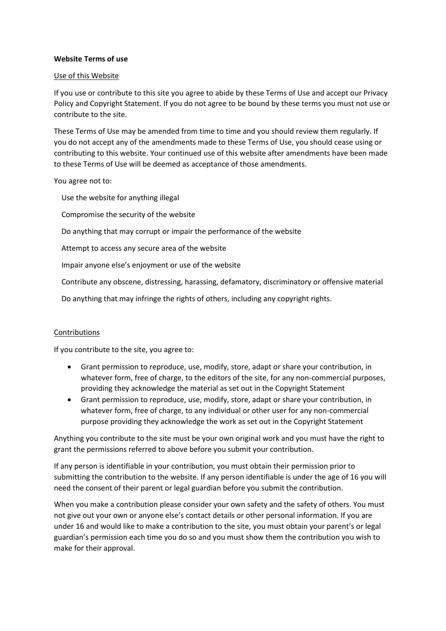## **Website Terms of use**

#### Use of this Website

If you use or contribute to this site you agree to abide by these Terms of Use and accept our Privacy Policy and Copyright Statement. If you do not agree to be bound by these terms you must not use or contribute to the site.

These Terms of Use may be amended from time to time and you should review them regularly. If you do not accept any of the amendments made to these Terms of Use, you should cease using or contributing to this website. Your continued use of this website after amendments have been made to these Terms of Use will be deemed as acceptance of those amendments.

You agree not to:

Use the website for anything illegal

Compromise the security of the website

Do anything that may corrupt or impair the performance of the website

Attempt to access any secure area of the website

Impair anyone else's enjoyment or use of the website

Contribute any obscene, distressing, harassing, defamatory, discriminatory or offensive material

Do anything that may infringe the rights of others, including any copyright rights.

#### Contributions

If you contribute to the site, you agree to:

- Grant permission to reproduce, use, modify, store, adapt or share your contribution, in whatever form, free of charge, to the editors of the site, for any non-commercial purposes, providing they acknowledge the material as set out in the Copyright Statement
- Grant permission to reproduce, use, modify, store, adapt or share your contribution, in whatever form, free of charge, to any individual or other user for any non-commercial purpose providing they acknowledge the work as set out in the Copyright Statement

Anything you contribute to the site must be your own original work and you must have the right to grant the permissions referred to above before you submit your contribution.

If any person is identifiable in your contribution, you must obtain their permission prior to submitting the contribution to the website. If any person identifiable is under the age of 16 you will need the consent of their parent or legal guardian before you submit the contribution.

When you make a contribution please consider your own safety and the safety of others. You must not give out your own or anyone else's contact details or other personal information. If you are under 16 and would like to make a contribution to the site, you must obtain your parent's or legal guardian's permission each time you do so and you must show them the contribution you wish to make for their approval.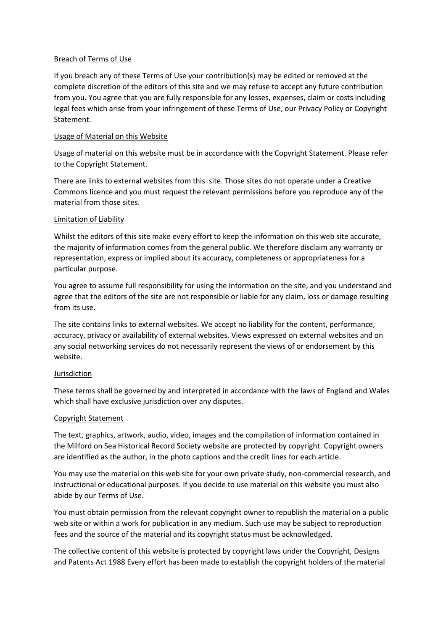#### Breach of Terms of Use

If you breach any of these Terms of Use your contribution(s) may be edited or removed at the complete discretion of the editors of this site and we may refuse to accept any future contribution from you. You agree that you are fully responsible for any losses, expenses, claim or costs including legal fees which arise from your infringement of these Terms of Use, our Privacy Policy or Copyright Statement.

## Usage of Material on this Website

Usage of material on this website must be in accordance with the Copyright Statement. Please refer to the Copyright Statement.

There are links to external websites from this site. Those sites do not operate under a Creative Commons licence and you must request the relevant permissions before you reproduce any of the material from those sites.

## Limitation of Liability

Whilst the editors of this site make every effort to keep the information on this web site accurate, the majority of information comes from the general public. We therefore disclaim any warranty or representation, express or implied about its accuracy, completeness or appropriateness for a particular purpose.

You agree to assume full responsibility for using the information on the site, and you understand and agree that the editors of the site are not responsible or liable for any claim, loss or damage resulting from its use.

The site contains links to external websites. We accept no liability for the content, performance, accuracy, privacy or availability of external websites. Views expressed on external websites and on any social networking services do not necessarily represent the views of or endorsement by this website.

# Jurisdiction

These terms shall be governed by and interpreted in accordance with the laws of England and Wales which shall have exclusive jurisdiction over any disputes.

# Copyright Statement

The text, graphics, artwork, audio, video, images and the compilation of information contained in the Milford on Sea Historical Record Society website are protected by copyright. Copyright owners are identified as the author, in the photo captions and the credit lines for each article.

You may use the material on this web site for your own private study, non-commercial research, and instructional or educational purposes. If you decide to use material on this website you must also abide by our Terms of Use.

You must obtain permission from the relevant copyright owner to republish the material on a public web site or within a work for publication in any medium. Such use may be subject to reproduction fees and the source of the material and its copyright status must be acknowledged.

The collective content of this website is protected by copyright laws under the Copyright, Designs and Patents Act 1988 Every effort has been made to establish the copyright holders of the material